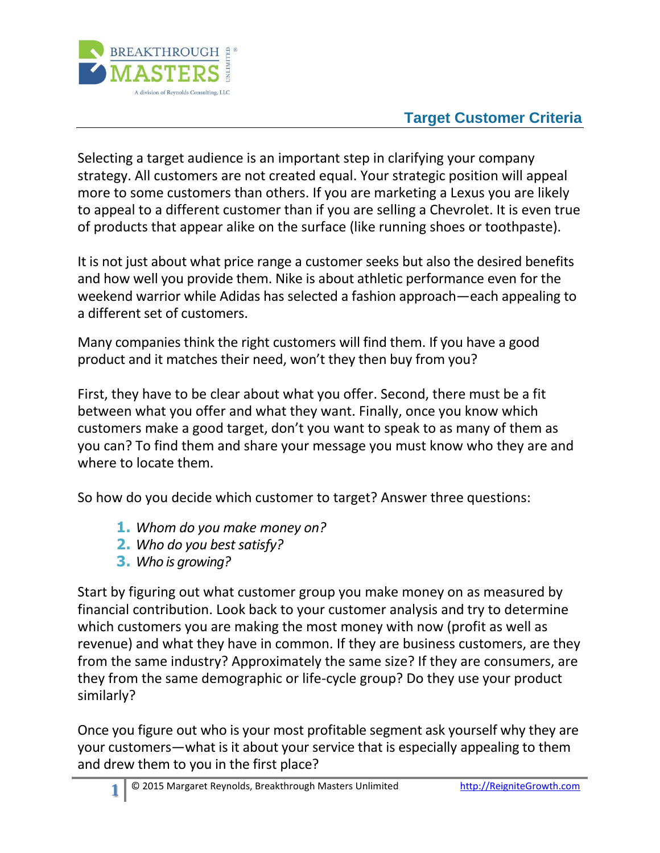

## **Target Customer Criteria**

Selecting a target audience is an important step in clarifying your company strategy. All customers are not created equal. Your strategic position will appeal more to some customers than others. If you are marketing a Lexus you are likely to appeal to a different customer than if you are selling a Chevrolet. It is even true of products that appear alike on the surface (like running shoes or toothpaste).

It is not just about what price range a customer seeks but also the desired benefits and how well you provide them. Nike is about athletic performance even for the weekend warrior while Adidas has selected a fashion approach—each appealing to a different set of customers.

Many companies think the right customers will find them. If you have a good product and it matches their need, won't they then buy from you?

First, they have to be clear about what you offer. Second, there must be a fit between what you offer and what they want. Finally, once you know which customers make a good target, don't you want to speak to as many of them as you can? To find them and share your message you must know who they are and where to locate them.

So how do you decide which customer to target? Answer three questions:

- **1.** *Whom do you make money on?*
- **2.** *Who do you best satisfy?*
- **3.** *Who is growing?*

Start by figuring out what customer group you make money on as measured by financial contribution. Look back to your customer analysis and try to determine which customers you are making the most money with now (profit as well as revenue) and what they have in common. If they are business customers, are they from the same industry? Approximately the same size? If they are consumers, are they from the same demographic or life-cycle group? Do they use your product similarly?

Once you figure out who is your most profitable segment ask yourself why they are your customers—what is it about your service that is especially appealing to them and drew them to you in the first place?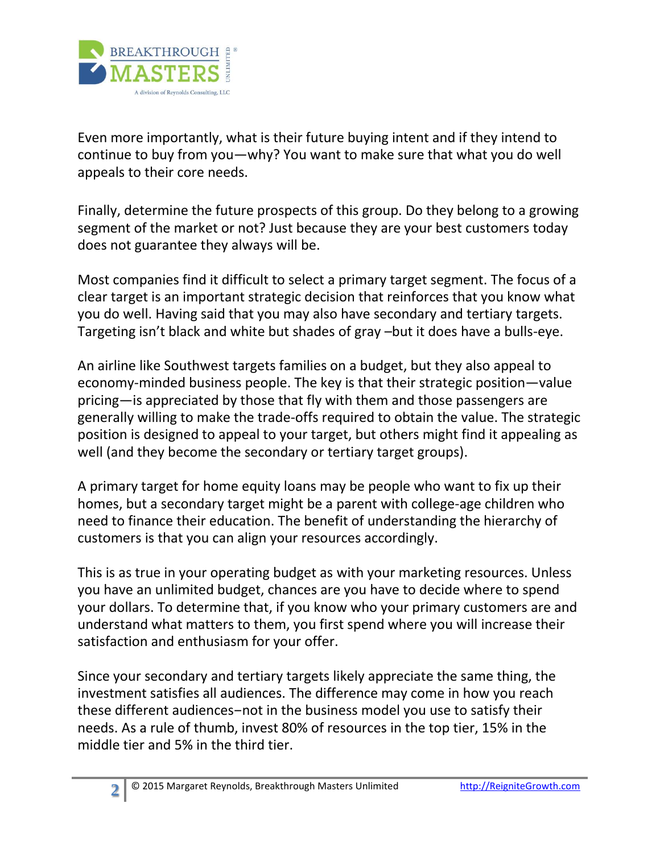

Even more importantly, what is their future buying intent and if they intend to continue to buy from you—why? You want to make sure that what you do well appeals to their core needs.

Finally, determine the future prospects of this group. Do they belong to a growing segment of the market or not? Just because they are your best customers today does not guarantee they always will be.

Most companies find it difficult to select a primary target segment. The focus of a clear target is an important strategic decision that reinforces that you know what you do well. Having said that you may also have secondary and tertiary targets. Targeting isn't black and white but shades of gray –but it does have a bulls-eye.

An airline like Southwest targets families on a budget, but they also appeal to economy-minded business people. The key is that their strategic position—value pricing—is appreciated by those that fly with them and those passengers are generally willing to make the trade-offs required to obtain the value. The strategic position is designed to appeal to your target, but others might find it appealing as well (and they become the secondary or tertiary target groups).

A primary target for home equity loans may be people who want to fix up their homes, but a secondary target might be a parent with college-age children who need to finance their education. The benefit of understanding the hierarchy of customers is that you can align your resources accordingly.

This is as true in your operating budget as with your marketing resources. Unless you have an unlimited budget, chances are you have to decide where to spend your dollars. To determine that, if you know who your primary customers are and understand what matters to them, you first spend where you will increase their satisfaction and enthusiasm for your offer.

Since your secondary and tertiary targets likely appreciate the same thing, the investment satisfies all audiences. The difference may come in how you reach these different audiences—not in the business model you use to satisfy their needs. As a rule of thumb, invest 80% of resources in the top tier, 15% in the middle tier and 5% in the third tier.